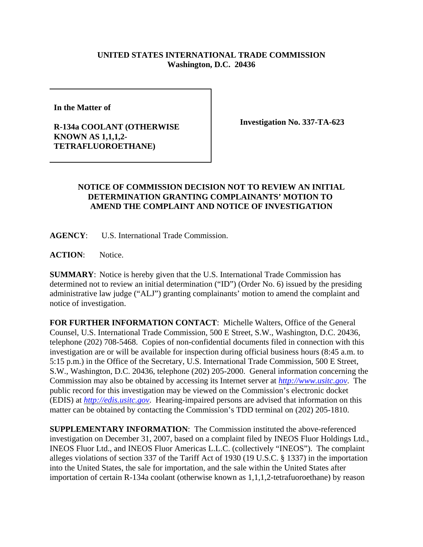## **UNITED STATES INTERNATIONAL TRADE COMMISSION Washington, D.C. 20436**

**In the Matter of** 

## **R-134a COOLANT (OTHERWISE KNOWN AS 1,1,1,2- TETRAFLUOROETHANE)**

**Investigation No. 337-TA-623**

## **NOTICE OF COMMISSION DECISION NOT TO REVIEW AN INITIAL DETERMINATION GRANTING COMPLAINANTS' MOTION TO AMEND THE COMPLAINT AND NOTICE OF INVESTIGATION**

**AGENCY**: U.S. International Trade Commission.

ACTION: Notice.

**SUMMARY**: Notice is hereby given that the U.S. International Trade Commission has determined not to review an initial determination ("ID") (Order No. 6) issued by the presiding administrative law judge ("ALJ") granting complainants' motion to amend the complaint and notice of investigation.

**FOR FURTHER INFORMATION CONTACT**: Michelle Walters, Office of the General Counsel, U.S. International Trade Commission, 500 E Street, S.W., Washington, D.C. 20436, telephone (202) 708-5468. Copies of non-confidential documents filed in connection with this investigation are or will be available for inspection during official business hours (8:45 a.m. to 5:15 p.m.) in the Office of the Secretary, U.S. International Trade Commission, 500 E Street, S.W., Washington, D.C. 20436, telephone (202) 205-2000. General information concerning the Commission may also be obtained by accessing its Internet server at *http://www.usitc.gov*. The public record for this investigation may be viewed on the Commission's electronic docket (EDIS) at *http://edis.usitc.gov*. Hearing-impaired persons are advised that information on this matter can be obtained by contacting the Commission's TDD terminal on (202) 205-1810.

**SUPPLEMENTARY INFORMATION**: The Commission instituted the above-referenced investigation on December 31, 2007, based on a complaint filed by INEOS Fluor Holdings Ltd., INEOS Fluor Ltd., and INEOS Fluor Americas L.L.C. (collectively "INEOS"). The complaint alleges violations of section 337 of the Tariff Act of 1930 (19 U.S.C. § 1337) in the importation into the United States, the sale for importation, and the sale within the United States after importation of certain R-134a coolant (otherwise known as 1,1,1,2-tetrafuoroethane) by reason